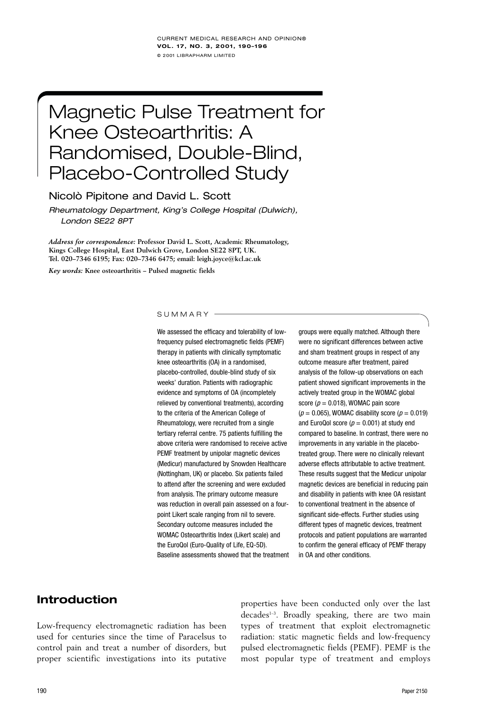# Magnetic Pulse Treatment for Knee Osteoarthritis: A Randomised, Double-Blind, Placebo-Controlled Study

## Nicolò Pipitone and David L. Scott

*Rheumatology Department, King's College Hospital (Dulwich), London SE22 8PT*

*Address for correspondence:* **Professor David L. Scott, Academic Rheumatology, Kings College Hospital, East Dulwich Grove, London SE22 8PT, UK. Tel. 020–7346 6195; Fax: 020–7346 6475; email: leigh.joyce@kcl.ac.uk**

*Key words:* **Knee osteoarthritis – Pulsed magnetic fields**

#### SUMMARY

We assessed the efficacy and tolerability of lowfrequency pulsed electromagnetic fields (PEMF) therapy in patients with clinically symptomatic knee osteoarthritis (OA) in a randomised, placebo-controlled, double-blind study of six weeks' duration. Patients with radiographic evidence and symptoms of OA (incompletely relieved by conventional treatments), according to the criteria of the American College of Rheumatology, were recruited from a single tertiary referral centre. 75 patients fulfilling the above criteria were randomised to receive active PEMF treatment by unipolar magnetic devices (Medicur) manufactured by Snowden Healthcare (Nottingham, UK) or placebo. Six patients failed to attend after the screening and were excluded from analysis. The primary outcome measure was reduction in overall pain assessed on a fourpoint Likert scale ranging from nil to severe. Secondary outcome measures included the WOMAC Osteoarthritis Index (Likert scale) and the EuroQol (Euro-Quality of Life, EQ-5D). Baseline assessments showed that the treatment groups were equally matched. Although there were no significant differences between active and sham treatment groups in respect of any outcome measure after treatment, paired analysis of the follow-up observations on each patient showed significant improvements in the actively treated group in the WOMAC global score ( $p = 0.018$ ), WOMAC pain score  $(p = 0.065)$ , WOMAC disability score  $(p = 0.019)$ and FuroQol score ( $p = 0.001$ ) at study end compared to baseline. In contrast, there were no improvements in any variable in the placebotreated group. There were no clinically relevant adverse effects attributable to active treatment. These results suggest that the Medicur unipolar magnetic devices are beneficial in reducing pain and disability in patients with knee OA resistant to conventional treatment in the absence of significant side-effects. Further studies using different types of magnetic devices, treatment protocols and patient populations are warranted to confirm the general efficacy of PEMF therapy in OA and other conditions.

## **Introduction**

Low-frequency electromagnetic radiation has been used for centuries since the time of Paracelsus to control pain and treat a number of disorders, but proper scientific investigations into its putative

properties have been conducted only over the last decades<sup>1-3</sup>. Broadly speaking, there are two main types of treatment that exploit electromagnetic radiation: static magnetic fields and low-frequency pulsed electromagnetic fields (PEMF). PEMF is the most popular type of treatment and employs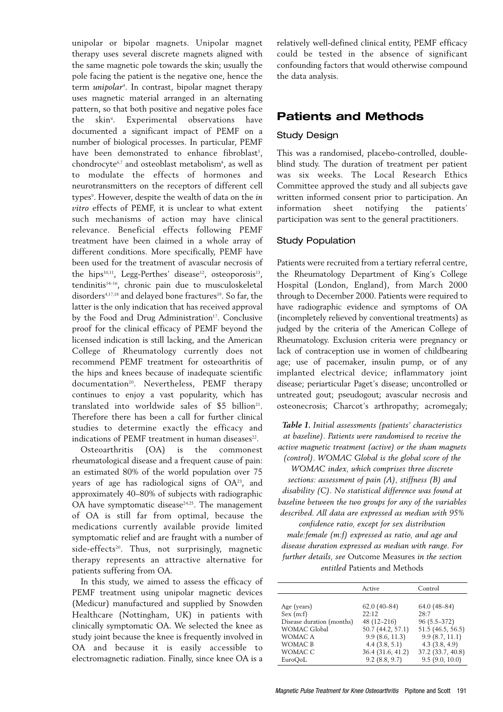unipolar or bipolar magnets. Unipolar magnet therapy uses several discrete magnets aligned with the same magnetic pole towards the skin; usually the pole facing the patient is the negative one, hence the term *unipolar*<sup>4</sup> . In contrast, bipolar magnet therapy uses magnetic material arranged in an alternating pattern, so that both positive and negative poles face the skin<sup>4</sup>. . Experimental observations have documented a significant impact of PEMF on a number of biological processes. In particular, PEMF have been demonstrated to enhance fibroblast<sup>s</sup>, chondrocyte $^{6,7}$  and osteoblast metabolism $^{8},$  as well as to modulate the effects of hormones and neurotransmitters on the receptors of different cell types9 . However, despite the wealth of data on the *in vitro* effects of PEMF, it is unclear to what extent such mechanisms of action may have clinical relevance. Beneficial effects following PEMF treatment have been claimed in a whole array of different conditions. More specifically, PEMF have been used for the treatment of avascular necrosis of the hips<sup>10,11</sup>, Legg-Perthes' disease<sup>12</sup>, osteoporosis<sup>13</sup>, tendinitis14–16, chronic pain due to musculoskeletal disorders<sup>4,17,18</sup> and delayed bone fractures<sup>19</sup>. So far, the latter is the only indication that has received approval by the Food and Drug Administration<sup>17</sup>. Conclusive proof for the clinical efficacy of PEMF beyond the licensed indication is still lacking, and the American College of Rheumatology currently does not recommend PEMF treatment for osteoarthritis of the hips and knees because of inadequate scientific documentation<sup>20</sup>. Nevertheless, PEMF therapy continues to enjoy a vast popularity, which has translated into worldwide sales of  $$5$  billion<sup>21</sup>. Therefore there has been a call for further clinical studies to determine exactly the efficacy and indications of PEMF treatment in human diseases<sup>22</sup>.

Osteoarthritis (OA) is the commonest rheumatological disease and a frequent cause of pain: an estimated 80% of the world population over 75 years of age has radiological signs of OA<sup>23</sup>, and approximately 40–80% of subjects with radiographic OA have symptomatic disease $24,25$ . The management of OA is still far from optimal, because the medications currently available provide limited symptomatic relief and are fraught with a number of side-effects<sup>20</sup>. Thus, not surprisingly, magnetic therapy represents an attractive alternative for patients suffering from OA.

In this study, we aimed to assess the efficacy of PEMF treatment using unipolar magnetic devices (Medicur) manufactured and supplied by Snowden Healthcare (Nottingham, UK) in patients with clinically symptomatic OA. We selected the knee as study joint because the knee is frequently involved in OA and because it is easily accessible to electromagnetic radiation. Finally, since knee OA is a relatively well-defined clinical entity, PEMF efficacy could be tested in the absence of significant confounding factors that would otherwise compound the data analysis.

## **Patients and Methods**

## Study Design

This was a randomised, placebo-controlled, doubleblind study. The duration of treatment per patient was six weeks. The Local Research Ethics Committee approved the study and all subjects gave written informed consent prior to participation. An information sheet notifying the patients' participation was sent to the general practitioners.

### Study Population

Patients were recruited from a tertiary referral centre, the Rheumatology Department of King's College Hospital (London, England), from March 2000 through to December 2000. Patients were required to have radiographic evidence and symptoms of OA (incompletely relieved by conventional treatments) as judged by the criteria of the American College of Rheumatology. Exclusion criteria were pregnancy or lack of contraception use in women of childbearing age; use of pacemaker, insulin pump, or of any implanted electrical device; inflammatory joint disease; periarticular Paget's disease; uncontrolled or untreated gout; pseudogout; avascular necrosis and osteonecrosis; Charcot's arthropathy; acromegaly;

*Table 1. Initial assessments (patients' characteristics at baseline). Patients were randomised to receive the active magnetic treatment (active) or the sham magnets*

*(control). WOMAC Global is the global score of the WOMAC index, which comprises three discrete sections: assessment of pain (A), stiffness (B) and disability (C). No statistical difference was found at baseline between the two groups for any of the variables described. All data are expressed as median with 95%*

*confidence ratio, except for sex distribution male:female (m:f) expressed as ratio, and age and disease duration expressed as median with range. For further details, see* Outcome Measures *in the section entitled* Patients and Methods

|                           | Active            | Control            |  |
|---------------------------|-------------------|--------------------|--|
|                           |                   |                    |  |
| Age (years)               | $62.0(40-84)$     | 64.0 (48-84)       |  |
| $Sex$ (m:f)               | 72.17             | 28:7               |  |
| Disease duration (months) | $48(12 - 216)$    | $96(5.5-372)$      |  |
| <b>WOMAC Global</b>       | 50.7 (44.2, 57.1) | 51.5 (46.5, 56.5)  |  |
| WOMAC A                   | 9.9(8.6, 11.3)    | 9.9(8.7, 11.1)     |  |
| WOMAC B                   | $4.4$ (3.8, 5.1)  | $4.3$ $(3.8, 4.9)$ |  |
| WOMAC C                   | 36.4 (31.6, 41.2) | 37.2 (33.7, 40.8)  |  |
| EuroQoL                   | $9.2$ (8.8, 9.7)  | 9.5(9.0, 10.0)     |  |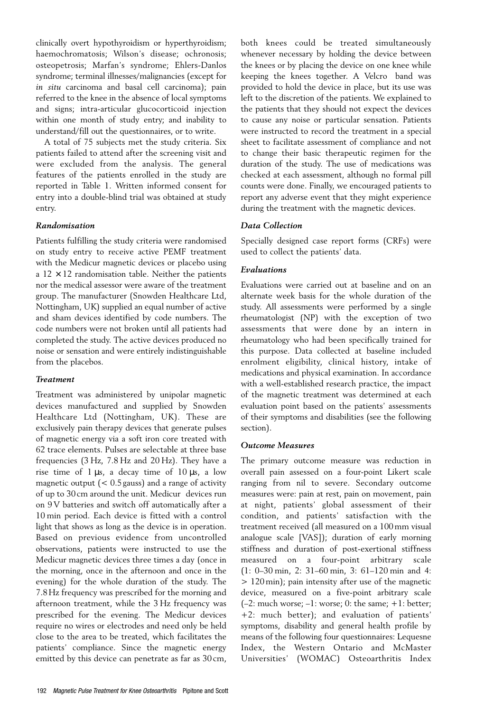clinically overt hypothyroidism or hyperthyroidism; haemochromatosis; Wilson's disease; ochronosis; osteopetrosis; Marfan's syndrome; Ehlers-Danlos syndrome; terminal illnesses/malignancies (except for *in situ* carcinoma and basal cell carcinoma); pain referred to the knee in the absence of local symptoms and signs; intra-articular glucocorticoid injection within one month of study entry; and inability to understand/fill out the questionnaires, or to write.

A total of 75 subjects met the study criteria. Six patients failed to attend after the screening visit and were excluded from the analysis. The general features of the patients enrolled in the study are reported in Table 1. Written informed consent for entry into a double-blind trial was obtained at study entry.

#### *Randomisation*

Patients fulfilling the study criteria were randomised on study entry to receive active PEMF treatment with the Medicur magnetic devices or placebo using a  $12 \times 12$  randomisation table. Neither the patients nor the medical assessor were aware of the treatment group. The manufacturer (Snowden Healthcare Ltd, Nottingham, UK) supplied an equal number of active and sham devices identified by code numbers. The code numbers were not broken until all patients had completed the study. The active devices produced no noise or sensation and were entirely indistinguishable from the placebos.

#### *Treatment*

Treatment was administered by unipolar magnetic devices manufactured and supplied by Snowden Healthcare Ltd (Nottingham, UK). These are exclusively pain therapy devices that generate pulses of magnetic energy via a soft iron core treated with 62 trace elements. Pulses are selectable at three base frequencies (3 Hz, 7.8 Hz and 20 Hz). They have a rise time of  $1 \mu s$ , a decay time of  $10 \mu s$ , a low magnetic output  $(< 0.5$  gauss) and a range of activity of up to 30 cm around the unit. Medicur® devices run on 9 V batteries and switch off automatically after a 10 min period. Each device is fitted with a control light that shows as long as the device is in operation. Based on previous evidence from uncontrolled observations, patients were instructed to use the Medicur magnetic devices three times a day (once in the morning, once in the afternoon and once in the evening) for the whole duration of the study. The 7.8Hz frequency was prescribed for the morning and afternoon treatment, while the 3 Hz frequency was prescribed for the evening. The Medicur devices require no wires or electrodes and need only be held close to the area to be treated, which facilitates the patients' compliance. Since the magnetic energy emitted by this device can penetrate as far as 30 cm,

both knees could be treated simultaneously whenever necessary by holding the device between the knees or by placing the device on one knee while keeping the knees together. A Velcro® band was provided to hold the device in place, but its use was left to the discretion of the patients. We explained to the patients that they should not expect the devices to cause any noise or particular sensation. Patients were instructed to record the treatment in a special sheet to facilitate assessment of compliance and not to change their basic therapeutic regimen for the duration of the study. The use of medications was checked at each assessment, although no formal pill counts were done. Finally, we encouraged patients to report any adverse event that they might experience during the treatment with the magnetic devices.

#### *Data Collection*

Specially designed case report forms (CRFs) were used to collect the patients' data.

#### *Evaluations*

Evaluations were carried out at baseline and on an alternate week basis for the whole duration of the study. All assessments were performed by a single rheumatologist (NP) with the exception of two assessments that were done by an intern in rheumatology who had been specifically trained for this purpose. Data collected at baseline included enrolment eligibility, clinical history, intake of medications and physical examination. In accordance with a well-established research practice, the impact of the magnetic treatment was determined at each evaluation point based on the patients' assessments of their symptoms and disabilities (see the following section).

#### *Outcome Measures*

The primary outcome measure was reduction in overall pain assessed on a four-point Likert scale ranging from nil to severe. Secondary outcome measures were: pain at rest, pain on movement, pain at night, patients' global assessment of their condition, and patients' satisfaction with the treatment received (all measured on a 100 mm visual analogue scale [VAS]); duration of early morning stiffness and duration of post-exertional stiffness measured on a four-point arbitrary scale (1: 0–30 min, 2: 31–60 min, 3: 61–120 min and 4: > 120 min); pain intensity after use of the magnetic device, measured on a five-point arbitrary scale  $(-2:$  much worse;  $-1:$  worse; 0: the same;  $+1:$  better; +2: much better); and evaluation of patients' symptoms, disability and general health profile by means of the following four questionnaires: Lequesne Index, the Western Ontario and McMaster Universities' (WOMAC) Osteoarthritis Index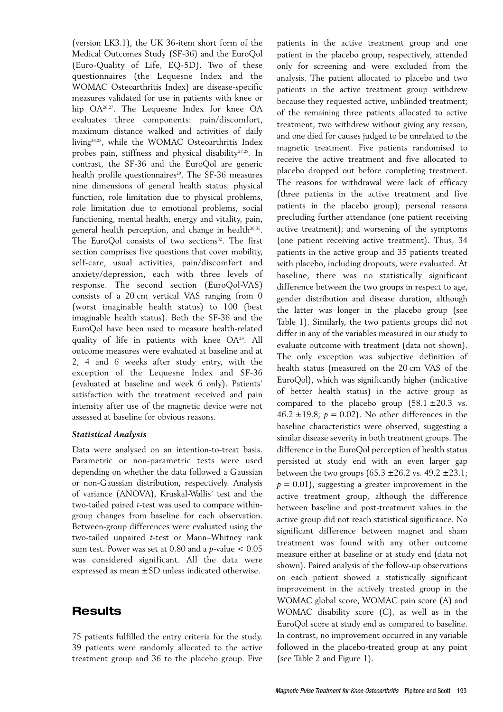(version LK3.1), the UK 36-item short form of the Medical Outcomes Study (SF-36) and the EuroQol (Euro-Quality of Life, EQ-5D). Two of these questionnaires (the Lequesne Index and the WOMAC Osteoarthritis Index) are disease-specific measures validated for use in patients with knee or hip OA<sup>26,27</sup>. The Lequesne Index for knee OA evaluates three components: pain/discomfort, maximum distance walked and activities of daily living26,28, while the WOMAC Osteoarthritis Index probes pain, stiffness and physical disability<sup>27,28</sup>. In contrast, the SF-36 and the EuroQol are generic health profile questionnaires<sup>29</sup>. The SF-36 measures nine dimensions of general health status: physical function, role limitation due to physical problems, role limitation due to emotional problems, social functioning, mental health, energy and vitality, pain, general health perception, and change in health<sup>30,31</sup>. The EuroQol consists of two sections<sup>32</sup>. The first section comprises five questions that cover mobility, self-care, usual activities, pain/discomfort and anxiety/depression, each with three levels of response. The second section (EuroQol-VAS) consists of a 20 cm vertical VAS ranging from 0 (worst imaginable health status) to 100 (best imaginable health status). Both the SF-36 and the EuroQol have been used to measure health-related quality of life in patients with knee OA29. All outcome measures were evaluated at baseline and at 2, 4 and 6 weeks after study entry, with the exception of the Lequesne Index and SF-36 (evaluated at baseline and week 6 only). Patients' satisfaction with the treatment received and pain intensity after use of the magnetic device were not assessed at baseline for obvious reasons.

#### *Statistical Analysis*

Data were analysed on an intention-to-treat basis. Parametric or non-parametric tests were used depending on whether the data followed a Gaussian or non-Gaussian distribution, respectively. Analysis of variance (ANOVA), Kruskal-Wallis' test and the two-tailed paired *t*-test was used to compare withingroup changes from baseline for each observation. Between-group differences were evaluated using the two-tailed unpaired *t*-test or Mann–Whitney rank sum test. Power was set at 0.80 and a *p*-value < 0.05 was considered significant. All the data were expressed as mean ± SD unless indicated otherwise.

## **Results**

75 patients fulfilled the entry criteria for the study. 39 patients were randomly allocated to the active treatment group and 36 to the placebo group. Five

patients in the active treatment group and one patient in the placebo group, respectively, attended only for screening and were excluded from the analysis. The patient allocated to placebo and two patients in the active treatment group withdrew because they requested active, unblinded treatment; of the remaining three patients allocated to active treatment, two withdrew without giving any reason, and one died for causes judged to be unrelated to the magnetic treatment. Five patients randomised to receive the active treatment and five allocated to placebo dropped out before completing treatment. The reasons for withdrawal were lack of efficacy (three patients in the active treatment and five patients in the placebo group); personal reasons precluding further attendance (one patient receiving active treatment); and worsening of the symptoms (one patient receiving active treatment). Thus, 34 patients in the active group and 35 patients treated with placebo, including dropouts, were evaluated. At baseline, there was no statistically significant difference between the two groups in respect to age, gender distribution and disease duration, although the latter was longer in the placebo group (see Table 1). Similarly, the two patients groups did not differ in any of the variables measured in our study to evaluate outcome with treatment (data not shown). The only exception was subjective definition of health status (measured on the 20 cm VAS of the EuroQol), which was significantly higher (indicative of better health status) in the active group as compared to the placebo group  $(58.1 \pm 20.3 \text{ vs.}$  $46.2 \pm 19.8$ ;  $p = 0.02$ ). No other differences in the baseline characteristics were observed, suggesting a similar disease severity in both treatment groups. The difference in the EuroQol perception of health status persisted at study end with an even larger gap between the two groups  $(65.3 \pm 26.2 \text{ vs. } 49.2 \pm 23.1)$ ;  $p = 0.01$ , suggesting a greater improvement in the active treatment group, although the difference between baseline and post-treatment values in the active group did not reach statistical significance. No significant difference between magnet and sham treatment was found with any other outcome measure either at baseline or at study end (data not shown). Paired analysis of the follow-up observations on each patient showed a statistically significant improvement in the actively treated group in the WOMAC global score, WOMAC pain score (A) and WOMAC disability score (C), as well as in the EuroQol score at study end as compared to baseline. In contrast, no improvement occurred in any variable followed in the placebo-treated group at any point (see Table 2 and Figure 1).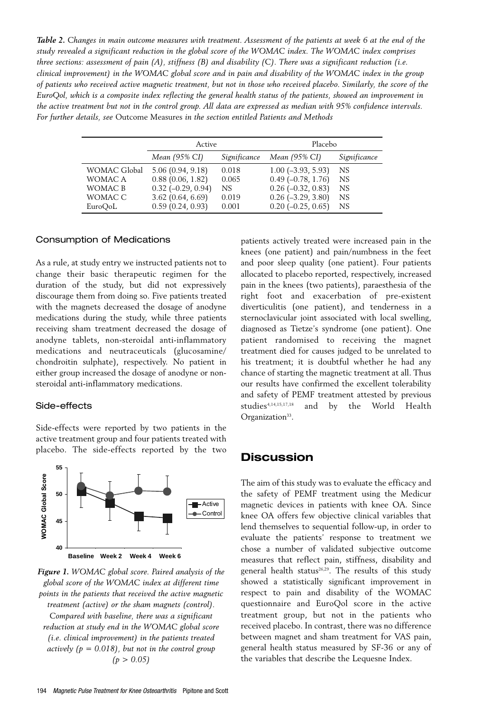*Table 2. Changes in main outcome measures with treatment. Assessment of the patients at week 6 at the end of the study revealed a significant reduction in the global score of the WOMAC index. The WOMAC index comprises three sections: assessment of pain (A), stiffness (B) and disability (C). There was a significant reduction (i.e. clinical improvement) in the WOMAC global score and in pain and disability of the WOMAC index in the group of patients who received active magnetic treatment, but not in those who received placebo. Similarly, the score of the EuroQol, which is a composite index reflecting the general health status of the patients, showed an improvement in the active treatment but not in the control group. All data are expressed as median with 95% confidence intervals. For further details, see* Outcome Measures *in the section entitled Patients and Methods*

|              | Active                   |              | Placebo                     |              |
|--------------|--------------------------|--------------|-----------------------------|--------------|
|              | Mean $(95\% \text{ CI})$ | Significance | <i>Mean</i> (95% CI)        | Significance |
| WOMAC Global | 5.06(0.94, 9.18)         | 0.018        | $1.00$ ( $-3.93$ , 5.93)    | NS.          |
| WOMAC A      | $0.88$ (0.06, 1.82)      | 0.065        | $0.49$ (-0.78, 1.76)        | <b>NS</b>    |
| WOMAC B      | $0.32$ (-0.29, 0.94)     | NS.          | $0.26$ ( $-0.32$ , $0.83$ ) | NS.          |
| WOMAC C      | $3.62$ (0.64, 6.69)      | 0.019        | $0.26$ ( $-3.29$ , $3.80$ ) | NS.          |
| EuroOoL      | 0.59(0.24, 0.93)         | 0.001        | $0.20$ (-0.25, 0.65)        | NS.          |

#### Consumption of Medications

As a rule, at study entry we instructed patients not to change their basic therapeutic regimen for the duration of the study, but did not expressively discourage them from doing so. Five patients treated with the magnets decreased the dosage of anodyne medications during the study, while three patients receiving sham treatment decreased the dosage of anodyne tablets, non-steroidal anti-inflammatory medications and neutraceuticals (glucosamine/ chondroitin sulphate), respectively. No patient in either group increased the dosage of anodyne or nonsteroidal anti-inflammatory medications.

#### Side-effects

Side-effects were reported by two patients in the active treatment group and four patients treated with placebo. The side-effects reported by the two



*Figure 1. WOMAC global score. Paired analysis of the global score of the WOMAC index at different time points in the patients that received the active magnetic treatment (active) or the sham magnets (control). Compared with baseline, there was a significant reduction at study end in the WOMAC global score (i.e. clinical improvement) in the patients treated actively (p = 0.018), but not in the control group (p > 0.05)*

patients actively treated were increased pain in the knees (one patient) and pain/numbness in the feet and poor sleep quality (one patient). Four patients allocated to placebo reported, respectively, increased pain in the knees (two patients), paraesthesia of the right foot and exacerbation of pre-existent diverticulitis (one patient), and tenderness in a sternoclavicular joint associated with local swelling, diagnosed as Tietze's syndrome (one patient). One patient randomised to receiving the magnet treatment died for causes judged to be unrelated to his treatment; it is doubtful whether he had any chance of starting the magnetic treatment at all. Thus our results have confirmed the excellent tolerability and safety of PEMF treatment attested by previous studies4,14,15,17,18 and by the World Health Organization<sup>33</sup>.

## **Discussion**

The aim of this study was to evaluate the efficacy and the safety of PEMF treatment using the Medicur magnetic devices in patients with knee OA. Since knee OA offers few objective clinical variables that lend themselves to sequential follow-up, in order to evaluate the patients' response to treatment we chose a number of validated subjective outcome measures that reflect pain, stiffness, disability and general health status<sup>26,29</sup>. The results of this study showed a statistically significant improvement in respect to pain and disability of the WOMAC questionnaire and EuroQol score in the active treatment group, but not in the patients who received placebo. In contrast, there was no difference between magnet and sham treatment for VAS pain, general health status measured by SF-36 or any of the variables that describe the Lequesne Index.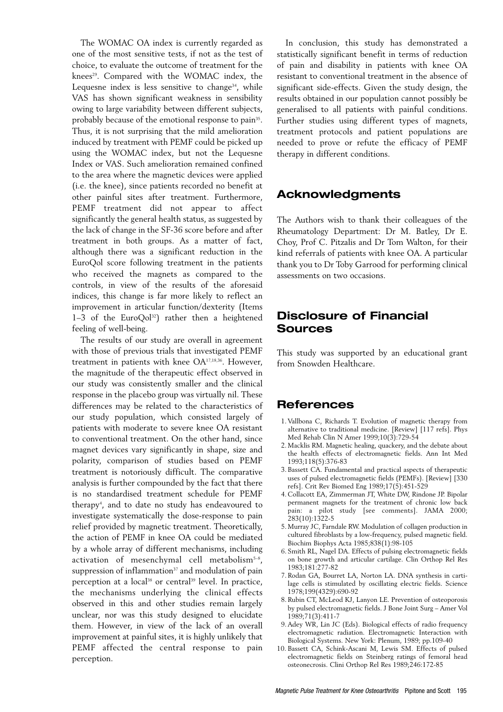The WOMAC OA index is currently regarded as one of the most sensitive tests, if not as the test of choice, to evaluate the outcome of treatment for the knees<sup>29</sup>. Compared with the WOMAC index, the Lequesne index is less sensitive to change<sup>34</sup>, while VAS has shown significant weakness in sensibility owing to large variability between different subjects, probably because of the emotional response to pain<sup>35</sup>. Thus, it is not surprising that the mild amelioration induced by treatment with PEMF could be picked up using the WOMAC index, but not the Lequesne Index or VAS. Such amelioration remained confined to the area where the magnetic devices were applied (i.e. the knee), since patients recorded no benefit at other painful sites after treatment. Furthermore, PEMF treatment did not appear to affect significantly the general health status, as suggested by the lack of change in the SF-36 score before and after treatment in both groups. As a matter of fact, although there was a significant reduction in the EuroQol score following treatment in the patients who received the magnets as compared to the controls, in view of the results of the aforesaid indices, this change is far more likely to reflect an improvement in articular function/dexterity (Items 1-3 of the EuroQol<sup>32</sup>) rather then a heightened feeling of well-being.

The results of our study are overall in agreement with those of previous trials that investigated PEMF treatment in patients with knee OA17,18,36. However, the magnitude of the therapeutic effect observed in our study was consistently smaller and the clinical response in the placebo group was virtually nil. These differences may be related to the characteristics of our study population, which consisted largely of patients with moderate to severe knee OA resistant to conventional treatment. On the other hand, since magnet devices vary significantly in shape, size and polarity, comparison of studies based on PEMF treatment is notoriously difficult. The comparative analysis is further compounded by the fact that there is no standardised treatment schedule for PEMF therapy4 , and to date no study has endeavoured to investigate systematically the dose-response to pain relief provided by magnetic treatment. Theoretically, the action of PEMF in knee OA could be mediated by a whole array of different mechanisms, including activation of mesenchymal cell metabolism5–8 , suppression of inflammation $37$  and modulation of pain perception at a local<sup>38</sup> or central<sup>39</sup> level. In practice, the mechanisms underlying the clinical effects observed in this and other studies remain largely unclear, nor was this study designed to elucidate them. However, in view of the lack of an overall improvement at painful sites, it is highly unlikely that PEMF affected the central response to pain perception.

In conclusion, this study has demonstrated a statistically significant benefit in terms of reduction of pain and disability in patients with knee OA resistant to conventional treatment in the absence of significant side-effects. Given the study design, the results obtained in our population cannot possibly be generalised to all patients with painful conditions. Further studies using different types of magnets, treatment protocols and patient populations are needed to prove or refute the efficacy of PEMF therapy in different conditions.

## **Acknowledgments**

The Authors wish to thank their colleagues of the Rheumatology Department: Dr M. Batley, Dr E. Choy, Prof C. Pitzalis and Dr Tom Walton, for their kind referrals of patients with knee OA. A particular thank you to Dr Toby Garrood for performing clinical assessments on two occasions.

## **Disclosure of Financial Sources**

This study was supported by an educational grant from Snowden Healthcare.

## **References**

- 1. Vallbona C, Richards T. Evolution of magnetic therapy from alternative to traditional medicine. [Review] [117 refs]. Phys Med Rehab Clin N Amer 1999;10(3):729-54
- 2. Macklis RM. Magnetic healing, quackery, and the debate about the health effects of electromagnetic fields. Ann Int Med 1993;118(5):376-83
- 3. Bassett CA. Fundamental and practical aspects of therapeutic uses of pulsed electromagnetic fields (PEMFs). [Review] [330 refs]. Crit Rev Biomed Eng 1989;17(5):451-529
- 4. Collacott EA, Zimmerman JT, White DW, Rindone JP. Bipolar permanent magnets for the treatment of chronic low back pain: a pilot study [see comments]. JAMA 2000; 283(10):1322-5
- 5. Murray JC, Farndale RW. Modulation of collagen production in cultured fibroblasts by a low-frequency, pulsed magnetic field. Biochim Biophys Acta 1985;838(1):98-105
- 6. Smith RL, Nagel DA. Effects of pulsing electromagnetic fields on bone growth and articular cartilage. Clin Orthop Rel Res 1983;181:277-82
- 7. Rodan GA, Bourret LA, Norton LA. DNA synthesis in cartilage cells is stimulated by oscillating electric fields. Science 1978;199(4329):690-92
- 8. Rubin CT, McLeod KJ, Lanyon LE. Prevention of osteoporosis by pulsed electromagnetic fields. J Bone Joint Surg – Amer Vol 1989;71(3):411-7
- 9. Adey WR, Lin JC (Eds). Biological effects of radio frequency electromagnetic radiation. Electromagnetic Interaction with Biological Systems. New York: Plenum, 1989; pp.109-40
- 10. Bassett CA, Schink-Ascani M, Lewis SM. Effects of pulsed electromagnetic fields on Steinberg ratings of femoral head osteonecrosis. Clini Orthop Rel Res 1989;246:172-85